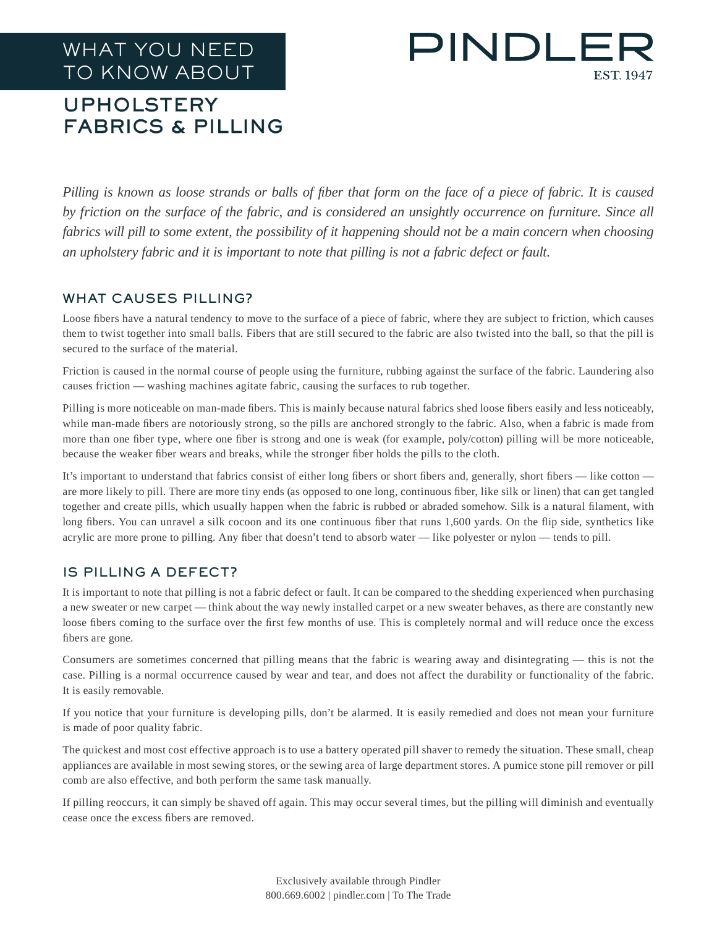# WHAT YOU NEED TO KNOW ABOUT

# PINDLE **EST. 1947**

## UPHOLSTERY FABRICS & PILLING

*Pilling is known as loose strands or balls of fiber that form on the face of a piece of fabric. It is caused*  by friction on the surface of the fabric, and is considered an unsightly occurrence on furniture. Since all *fabrics will pill to some extent, the possibility of it happening should not be a main concern when choosing an upholstery fabric and it is important to note that pilling is not a fabric defect or fault.*

#### WHAT CAUSES PILLING?

Loose fibers have a natural tendency to move to the surface of a piece of fabric, where they are subject to friction, which causes them to twist together into small balls. Fibers that are still secured to the fabric are also twisted into the ball, so that the pill is secured to the surface of the material.

Friction is caused in the normal course of people using the furniture, rubbing against the surface of the fabric. Laundering also causes friction — washing machines agitate fabric, causing the surfaces to rub together.

Pilling is more noticeable on man-made fibers. This is mainly because natural fabrics shed loose fibers easily and less noticeably, while man-made fibers are notoriously strong, so the pills are anchored strongly to the fabric. Also, when a fabric is made from more than one fiber type, where one fiber is strong and one is weak (for example, poly/cotton) pilling will be more noticeable, because the weaker fiber wears and breaks, while the stronger fiber holds the pills to the cloth.

It's important to understand that fabrics consist of either long fibers or short fibers and, generally, short fibers — like cotton are more likely to pill. There are more tiny ends (as opposed to one long, continuous fiber, like silk or linen) that can get tangled together and create pills, which usually happen when the fabric is rubbed or abraded somehow. Silk is a natural filament, with long fibers. You can unravel a silk cocoon and its one continuous fiber that runs 1,600 yards. On the flip side, synthetics like acrylic are more prone to pilling. Any fiber that doesn't tend to absorb water — like polyester or nylon — tends to pill.

### IS PILLING A DEFECT?

It is important to note that pilling is not a fabric defect or fault. It can be compared to the shedding experienced when purchasing a new sweater or new carpet — think about the way newly installed carpet or a new sweater behaves, as there are constantly new loose fibers coming to the surface over the first few months of use. This is completely normal and will reduce once the excess fibers are gone.

Consumers are sometimes concerned that pilling means that the fabric is wearing away and disintegrating — this is not the case. Pilling is a normal occurrence caused by wear and tear, and does not affect the durability or functionality of the fabric. It is easily removable.

If you notice that your furniture is developing pills, don't be alarmed. It is easily remedied and does not mean your furniture is made of poor quality fabric.

The quickest and most cost effective approach is to use a battery operated pill shaver to remedy the situation. These small, cheap appliances are available in most sewing stores, or the sewing area of large department stores. A pumice stone pill remover or pill comb are also effective, and both perform the same task manually.

If pilling reoccurs, it can simply be shaved off again. This may occur several times, but the pilling will diminish and eventually cease once the excess fibers are removed.